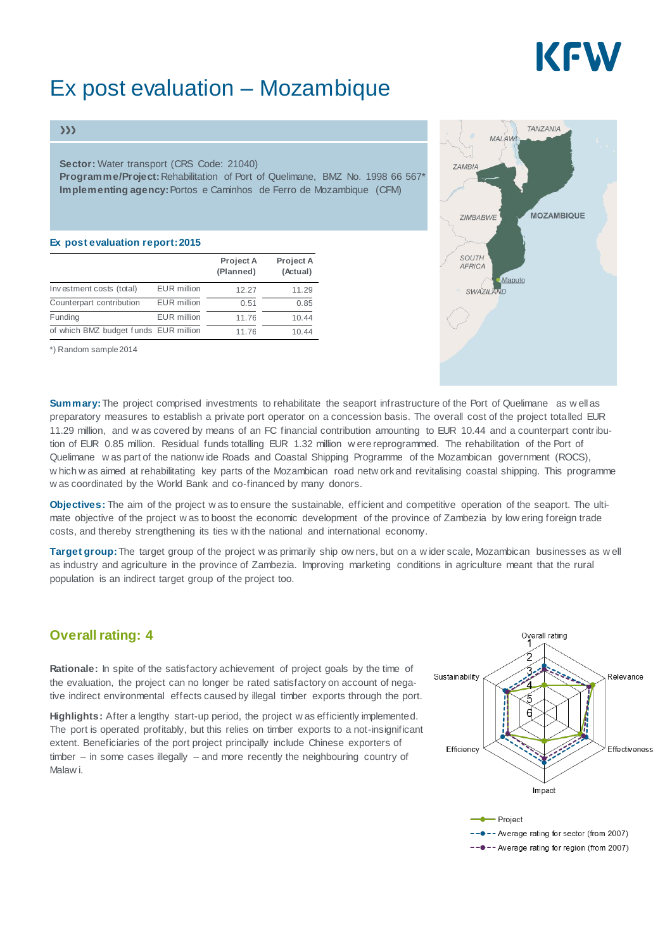# KEW

# Ex post evaluation – Mozambique

#### $\gg$

**Sector:** Water transport (CRS Code: 21040)

**Programme/Project:**Rehabilitation of Port of Quelimane, BMZ No. 1998 66 567\* **Implementing agency:**Portos e Caminhos de Ferro de Mozambique (CFM)

#### **Ex post evaluation report:2015**

|                                       |                    | Project A<br>(Planned) | Project A<br>(Actual) |
|---------------------------------------|--------------------|------------------------|-----------------------|
| Investment costs (total)              | <b>EUR</b> million | 12.27                  | 11.29                 |
| Counterpart contribution              | <b>EUR</b> million | 0.51                   | 0.85                  |
| Funding                               | <b>EUR</b> million | 11.76                  | 10.44                 |
| of which BMZ budget funds EUR million |                    | 11.76                  | 10.44                 |

\*) Random sample2014



**Summary:**The project comprised investments to rehabilitate the seaport infrastructure of the Port of Quelimane as w ell as preparatory measures to establish a private port operator on a concession basis. The overall cost of the project totalled EUR 11.29 million, and w as covered by means of an FC financial contribution amounting to EUR 10.44 and a counterpart contribution of EUR 0.85 million. Residual funds totalling EUR 1.32 million w ere reprogrammed. The rehabilitation of the Port of Quelimane w as part of the nationw ide Roads and Coastal Shipping Programme of the Mozambican government (ROCS), w hich w as aimed at rehabilitating key parts of the Mozambican road netw ork and revitalising coastal shipping. This programme w as coordinated by the World Bank and co-financed by many donors.

**Objectives:** The aim of the project w as to ensure the sustainable, efficient and competitive operation of the seaport. The ultimate objective of the project w as to boost the economic development of the province of Zambezia by low ering foreign trade costs, and thereby strengthening its ties w ith the national and international economy.

**Target group:**The target group of the project w as primarily ship ow ners, but on a w ider scale, Mozambican businesses as w ell as industry and agriculture in the province of Zambezia. Improving marketing conditions in agriculture meant that the rural population is an indirect target group of the project too.

### **Overall rating: 4**

**Rationale:** In spite of the satisfactory achievement of project goals by the time of the evaluation, the project can no longer be rated satisfactory on account of negative indirect environmental effects caused by illegal timber exports through the port.

**Highlights:** After a lengthy start-up period, the project w as efficiently implemented. The port is operated profitably, but this relies on timber exports to a not-insignificant extent. Beneficiaries of the port project principally include Chinese exporters of timber – in some cases illegally – and more recently the neighbouring country of Malaw i.



-- •- Average rating for region (from 2007)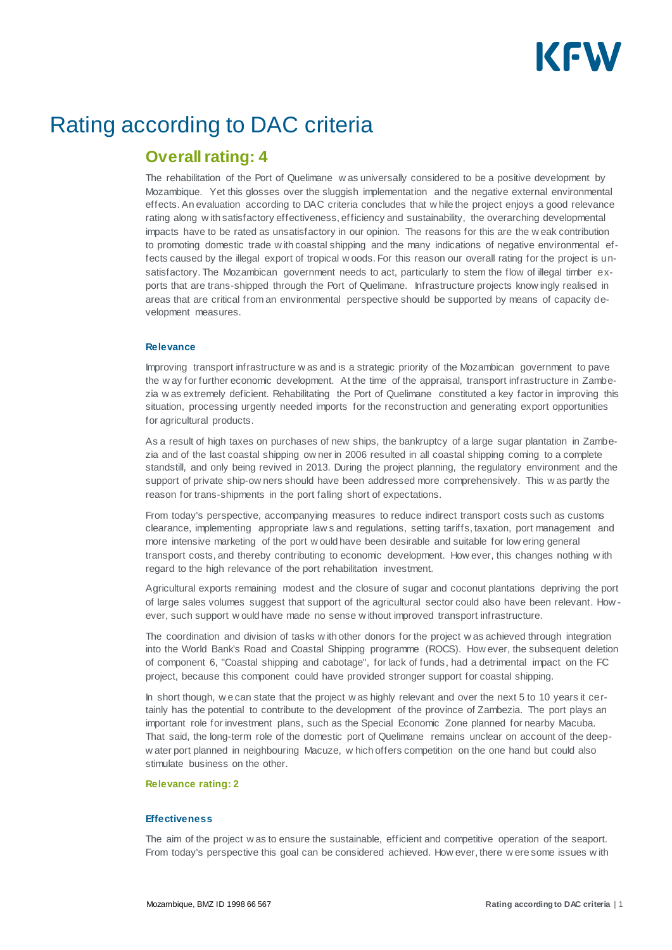

## Rating according to DAC criteria

### **Overall rating: 4**

The rehabilitation of the Port of Quelimane w as universally considered to be a positive development by Mozambique. Yet this glosses over the sluggish implementation and the negative external environmental effects. An evaluation according to DAC criteria concludes that w hile the project enjoys a good relevance rating along w ith satisfactory effectiveness, efficiency and sustainability, the overarching developmental impacts have to be rated as unsatisfactory in our opinion. The reasons for this are the w eak contribution to promoting domestic trade w ith coastal shipping and the many indications of negative environmental effects caused by the illegal export of tropical w oods. For this reason our overall rating for the project is unsatisfactory. The Mozambican government needs to act, particularly to stem the flow of illegal timber exports that are trans-shipped through the Port of Quelimane. Infrastructure projects know ingly realised in areas that are critical from an environmental perspective should be supported by means of capacity development measures.

#### **Relevance**

Improving transport infrastructure w as and is a strategic priority of the Mozambican government to pave the w ay for further economic development. At the time of the appraisal, transport infrastructure in Zambezia w as extremely deficient. Rehabilitating the Port of Quelimane constituted a key factor in improving this situation, processing urgently needed imports for the reconstruction and generating export opportunities for agricultural products.

As a result of high taxes on purchases of new ships, the bankruptcy of a large sugar plantation in Zambezia and of the last coastal shipping ow ner in 2006 resulted in all coastal shipping coming to a complete standstill, and only being revived in 2013. During the project planning, the regulatory environment and the support of private ship-ow ners should have been addressed more comprehensively. This w as partly the reason for trans-shipments in the port falling short of expectations.

From today's perspective, accompanying measures to reduce indirect transport costs such as customs clearance, implementing appropriate law s and regulations, setting tariffs, taxation, port management and more intensive marketing of the port w ould have been desirable and suitable for low ering general transport costs, and thereby contributing to economic development. How ever, this changes nothing w ith regard to the high relevance of the port rehabilitation investment.

Agricultural exports remaining modest and the closure of sugar and coconut plantations depriving the port of large sales volumes suggest that support of the agricultural sector could also have been relevant. How ever, such support w ould have made no sense w ithout improved transport infrastructure.

The coordination and division of tasks w ith other donors for the project w as achieved through integration into the World Bank's Road and Coastal Shipping programme (ROCS). How ever, the subsequent deletion of component 6, "Coastal shipping and cabotage", for lack of funds, had a detrimental impact on the FC project, because this component could have provided stronger support for coastal shipping.

In short though, we can state that the project w as highly relevant and over the next 5 to 10 years it certainly has the potential to contribute to the development of the province of Zambezia. The port plays an important role for investment plans, such as the Special Economic Zone planned for nearby Macuba. That said, the long-term role of the domestic port of Quelimane remains unclear on account of the deepw ater port planned in neighbouring Macuze, w hich offers competition on the one hand but could also stimulate business on the other.

#### **Relevance rating: 2**

#### **Effectiveness**

The aim of the project w as to ensure the sustainable, efficient and competitive operation of the seaport. From today's perspective this goal can be considered achieved. How ever, there w ere some issues w ith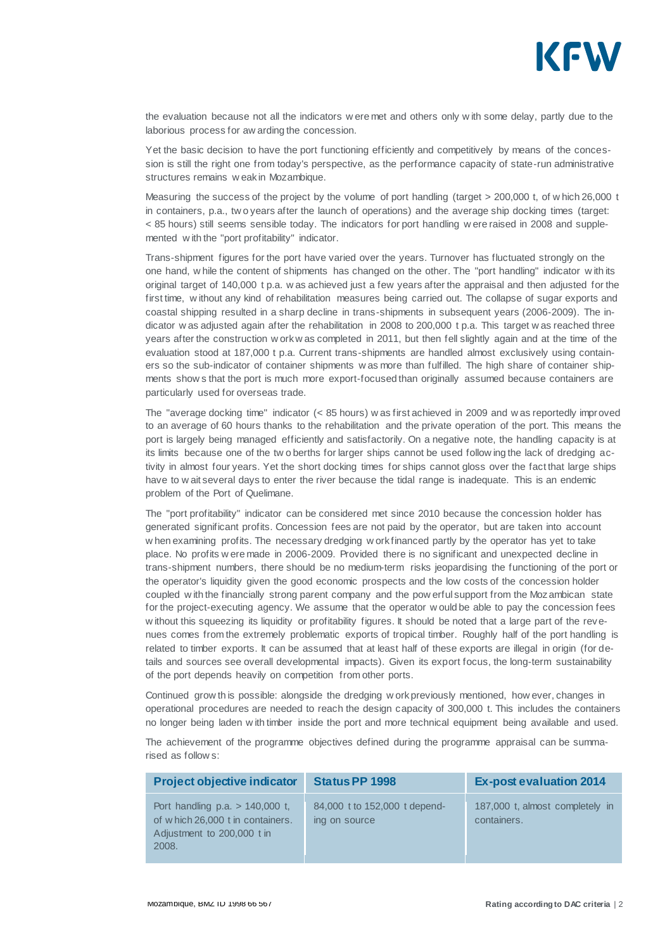

the evaluation because not all the indicators w ere met and others only w ith some delay, partly due to the laborious process for aw arding the concession.

Yet the basic decision to have the port functioning efficiently and competitively by means of the concession is still the right one from today's perspective, as the performance capacity of state-run administrative structures remains w eak in Mozambique.

Measuring the success of the project by the volume of port handling (target > 200,000 t, of w hich 26,000 t in containers, p.a., tw o years after the launch of operations) and the average ship docking times (target: < 85 hours) still seems sensible today. The indicators for port handling w ere raised in 2008 and supplemented w ith the "port profitability" indicator.

Trans-shipment figures for the port have varied over the years. Turnover has fluctuated strongly on the one hand, w hile the content of shipments has changed on the other. The "port handling" indicator w ith its original target of 140,000 t p.a. w as achieved just a few years after the appraisal and then adjusted for the first time, w ithout any kind of rehabilitation measures being carried out. The collapse of sugar exports and coastal shipping resulted in a sharp decline in trans-shipments in subsequent years (2006-2009). The indicator w as adjusted again after the rehabilitation in 2008 to 200,000 t p.a. This target w as reached three years after the construction w ork w as completed in 2011, but then fell slightly again and at the time of the evaluation stood at 187,000 t p.a. Current trans-shipments are handled almost exclusively using containers so the sub-indicator of container shipments w as more than fulfilled. The high share of container shipments show s that the port is much more export-focused than originally assumed because containers are particularly used for overseas trade.

The "average docking time" indicator (< 85 hours) w as first achieved in 2009 and w as reportedly improved to an average of 60 hours thanks to the rehabilitation and the private operation of the port. This means the port is largely being managed efficiently and satisfactorily. On a negative note, the handling capacity is at its limits because one of the tw o berths for larger ships cannot be used follow ing the lack of dredging activity in almost four years. Yet the short docking times for ships cannot gloss over the fact that large ships have to w ait several days to enter the river because the tidal range is inadequate. This is an endemic problem of the Port of Quelimane.

The "port profitability" indicator can be considered met since 2010 because the concession holder has generated significant profits. Concession fees are not paid by the operator, but are taken into account w hen examining profits. The necessary dredging w ork financed partly by the operator has yet to take place. No profits w ere made in 2006-2009. Provided there is no significant and unexpected decline in trans-shipment numbers, there should be no medium-term risks jeopardising the functioning of the port or the operator's liquidity given the good economic prospects and the low costs of the concession holder coupled w ith the financially strong parent company and the pow erful support from the Mozambican state for the project-executing agency. We assume that the operator w ould be able to pay the concession fees w ithout this squeezing its liquidity or profitability figures. It should be noted that a large part of the revenues comes from the extremely problematic exports of tropical timber. Roughly half of the port handling is related to timber exports. It can be assumed that at least half of these exports are illegal in origin (for details and sources see overall developmental impacts). Given its export focus, the long-term sustainability of the port depends heavily on competition from other ports.

Continued grow th is possible: alongside the dredging w ork previously mentioned, how ever, changes in operational procedures are needed to reach the design capacity of 300,000 t. This includes the containers no longer being laden w ith timber inside the port and more technical equipment being available and used.

The achievement of the programme objectives defined during the programme appraisal can be summarised as follow s:

| <b>Project objective indicator</b>                                                                            | <b>Status PP 1998</b>                          | <b>Ex-post evaluation 2014</b>                 |
|---------------------------------------------------------------------------------------------------------------|------------------------------------------------|------------------------------------------------|
| Port handling $p.a. > 140,000$ t,<br>of w hich 26,000 t in containers.<br>Adjustment to 200,000 t in<br>2008. | 84,000 t to 152,000 t depend-<br>ing on source | 187,000 t, almost completely in<br>containers. |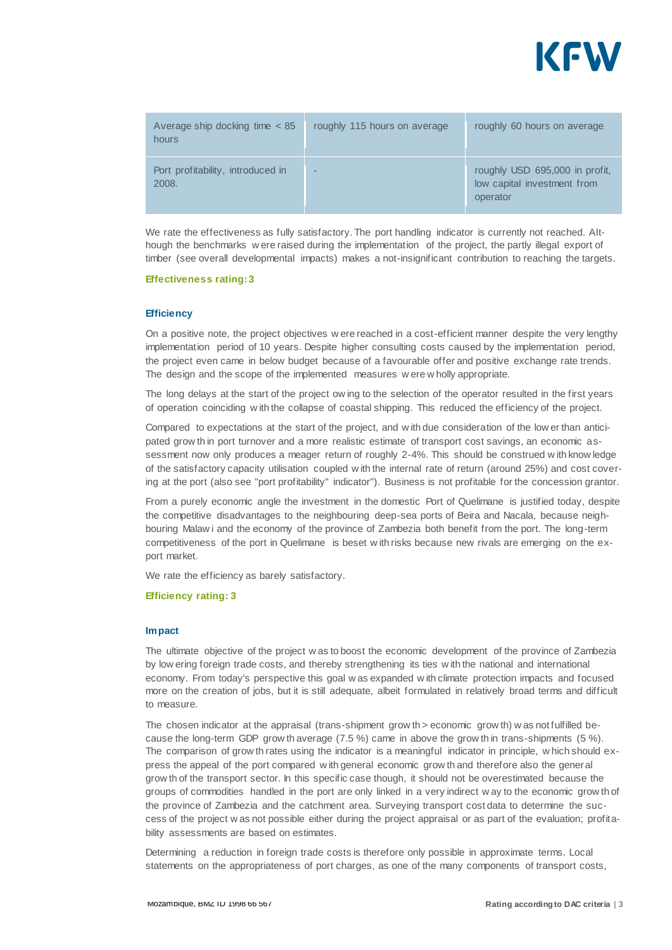

| Average ship docking time $< 85$<br>hours  | roughly 115 hours on average | roughly 60 hours on average                                               |
|--------------------------------------------|------------------------------|---------------------------------------------------------------------------|
| Port profitability, introduced in<br>2008. | -                            | roughly USD 695,000 in profit,<br>low capital investment from<br>operator |

We rate the effectiveness as fully satisfactory. The port handling indicator is currently not reached. Although the benchmarks w ere raised during the implementation of the project, the partly illegal export of timber (see overall developmental impacts) makes a not-insignificant contribution to reaching the targets.

#### **Effectiveness rating:3**

#### **Efficiency**

On a positive note, the project objectives w ere reached in a cost-efficient manner despite the very lengthy implementation period of 10 years. Despite higher consulting costs caused by the implementation period, the project even came in below budget because of a favourable offer and positive exchange rate trends. The design and the scope of the implemented measures w ere w holly appropriate.

The long delays at the start of the project ow ing to the selection of the operator resulted in the first years of operation coinciding w ith the collapse of coastal shipping. This reduced the efficiency of the project.

Compared to expectations at the start of the project, and w ith due consideration of the low er than anticipated grow th in port turnover and a more realistic estimate of transport cost savings, an economic assessment now only produces a meager return of roughly 2-4%. This should be construed w ith know ledge of the satisfactory capacity utilisation coupled w ith the internal rate of return (around 25%) and cost covering at the port (also see "port profitability" indicator"). Business is not profitable for the concession grantor.

From a purely economic angle the investment in the domestic Port of Quelimane is justified today, despite the competitive disadvantages to the neighbouring deep-sea ports of Beira and Nacala, because neighbouring Malaw i and the economy of the province of Zambezia both benefit from the port. The long-term competitiveness of the port in Quelimane is beset w ith risks because new rivals are emerging on the export market.

We rate the efficiency as barely satisfactory.

#### **Efficiency rating: 3**

#### **Impact**

The ultimate objective of the project w as to boost the economic development of the province of Zambezia by low ering foreign trade costs, and thereby strengthening its ties w ith the national and international economy. From today's perspective this goal w as expanded w ith climate protection impacts and focused more on the creation of jobs, but it is still adequate, albeit formulated in relatively broad terms and difficult to measure.

The chosen indicator at the appraisal (trans-shipment grow th > economic grow th) w as not fulfilled because the long-term GDP grow th average (7.5 %) came in above the grow th in trans-shipments (5 %). The comparison of grow th rates using the indicator is a meaningful indicator in principle, w hich should express the appeal of the port compared w ith general economic grow th and therefore also the general grow th of the transport sector. In this specific case though, it should not be overestimated because the groups of commodities handled in the port are only linked in a very indirect w ay to the economic grow th of the province of Zambezia and the catchment area. Surveying transport cost data to determine the success of the project w as not possible either during the project appraisal or as part of the evaluation; profitability assessments are based on estimates.

Determining a reduction in foreign trade costs is therefore only possible in approximate terms. Local statements on the appropriateness of port charges, as one of the many components of transport costs,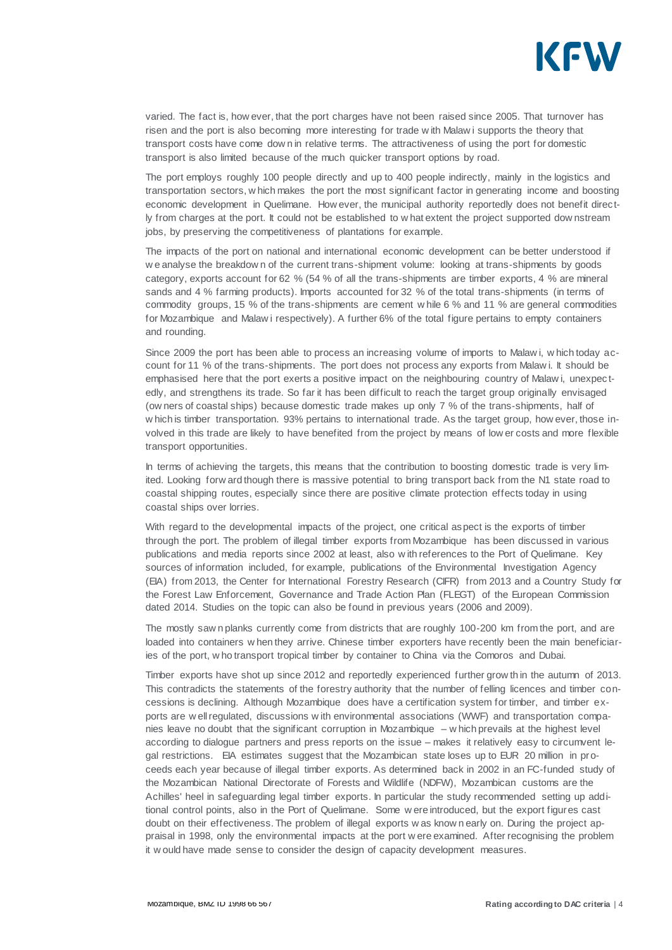

varied. The fact is, how ever, that the port charges have not been raised since 2005. That turnover has risen and the port is also becoming more interesting for trade w ith Malaw i supports the theory that transport costs have come dow n in relative terms. The attractiveness of using the port for domestic transport is also limited because of the much quicker transport options by road.

The port employs roughly 100 people directly and up to 400 people indirectly, mainly in the logistics and transportation sectors, w hich makes the port the most significant factor in generating income and boosting economic development in Quelimane. How ever, the municipal authority reportedly does not benefit direc tly from charges at the port. It could not be established to w hat extent the project supported dow nstream jobs, by preserving the competitiveness of plantations for example.

The impacts of the port on national and international economic development can be better understood if w e analyse the breakdow n of the current trans-shipment volume: looking at trans-shipments by goods category, exports account for 62 % (54 % of all the trans-shipments are timber exports, 4 % are mineral sands and 4 % farming products). Imports accounted for 32 % of the total trans-shipments (in terms of commodity groups, 15 % of the trans-shipments are cement w hile 6 % and 11 % are general commodities for Mozambique and Malaw i respectively). A further 6% of the total figure pertains to empty containers and rounding.

Since 2009 the port has been able to process an increasing volume of imports to Malaw i, w hich today account for 11 % of the trans-shipments. The port does not process any exports from Malaw i. It should be emphasised here that the port exerts a positive impact on the neighbouring country of Malaw i, unexpectedly, and strengthens its trade. So far it has been difficult to reach the target group originally envisaged (ow ners of coastal ships) because domestic trade makes up only 7 % of the trans-shipments, half of w hich is timber transportation. 93% pertains to international trade. As the target group, how ever, those involved in this trade are likely to have benefited from the project by means of low er costs and more flexible transport opportunities.

In terms of achieving the targets, this means that the contribution to boosting domestic trade is very limited. Looking forw ard though there is massive potential to bring transport back from the N1 state road to coastal shipping routes, especially since there are positive climate protection effects today in using coastal ships over lorries.

With regard to the developmental impacts of the project, one critical aspect is the exports of timber through the port. The problem of illegal timber exports from Mozambique has been discussed in various publications and media reports since 2002 at least, also w ith references to the Port of Quelimane. Key sources of information included, for example, publications of the Environmental Investigation Agency (EIA) from 2013, the Center for International Forestry Research (CIFR) from 2013 and a Country Study for the Forest Law Enforcement, Governance and Trade Action Plan (FLEGT) of the European Commission dated 2014. Studies on the topic can also be found in previous years (2006 and 2009).

The mostly saw n planks currently come from districts that are roughly 100-200 km from the port, and are loaded into containers w hen they arrive. Chinese timber exporters have recently been the main beneficiaries of the port, w ho transport tropical timber by container to China via the Comoros and Dubai.

Timber exports have shot up since 2012 and reportedly experienced further grow th in the autumn of 2013. This contradicts the statements of the forestry authority that the number of felling licences and timber concessions is declining. Although Mozambique does have a certification system for timber, and timber exports are w ell regulated, discussions w ith environmental associations (WWF) and transportation companies leave no doubt that the significant corruption in Mozambique – w hich prevails at the highest level according to dialogue partners and press reports on the issue – makes it relatively easy to circumvent legal restrictions. EIA estimates suggest that the Mozambican state loses up to EUR 20 million in proceeds each year because of illegal timber exports. As determined back in 2002 in an FC-funded study of the Mozambican National Directorate of Forests and Wildlife (NDFW), Mozambican customs are the Achilles' heel in safeguarding legal timber exports. In particular the study recommended setting up additional control points, also in the Port of Quelimane. Some w ere introduced, but the export figures cast doubt on their effectiveness. The problem of illegal exports w as know n early on. During the project appraisal in 1998, only the environmental impacts at the port w ere examined. After recognising the problem it w ould have made sense to consider the design of capacity development measures.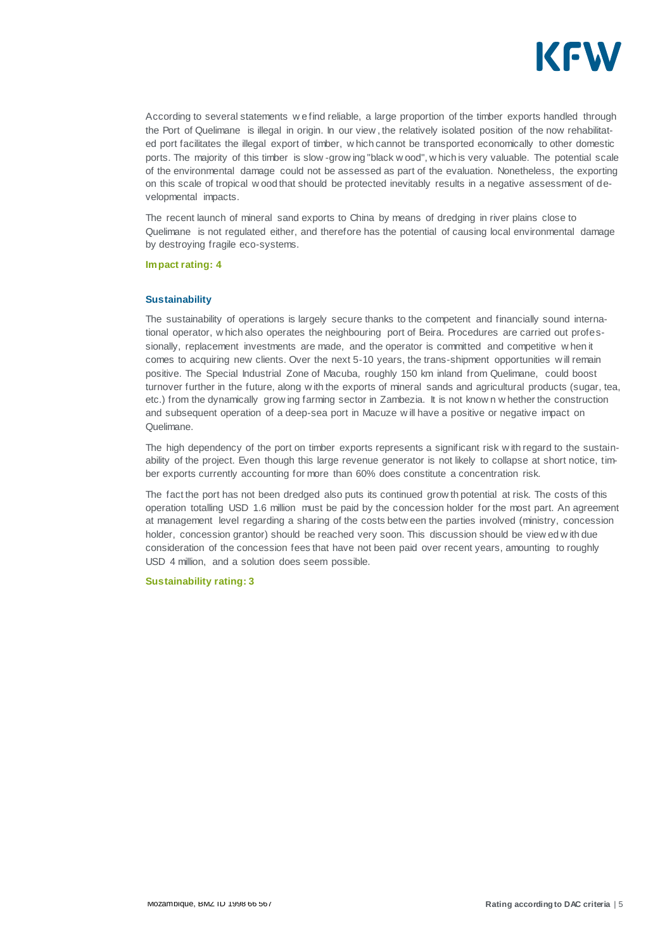

According to several statements w e find reliable, a large proportion of the timber exports handled through the Port of Quelimane is illegal in origin. In our view , the relatively isolated position of the now rehabilitated port facilitates the illegal export of timber, w hich cannot be transported economically to other domestic ports. The majority of this timber is slow -grow ing "black w ood", w hich is very valuable. The potential scale of the environmental damage could not be assessed as part of the evaluation. Nonetheless, the exporting on this scale of tropical w ood that should be protected inevitably results in a negative assessment of developmental impacts.

The recent launch of mineral sand exports to China by means of dredging in river plains close to Quelimane is not regulated either, and therefore has the potential of causing local environmental damage by destroying fragile eco-systems.

#### **Impact rating: 4**

#### **Sustainability**

The sustainability of operations is largely secure thanks to the competent and financially sound international operator, w hich also operates the neighbouring port of Beira. Procedures are carried out professionally, replacement investments are made, and the operator is committed and competitive w hen it comes to acquiring new clients. Over the next 5-10 years, the trans-shipment opportunities w ill remain positive. The Special Industrial Zone of Macuba, roughly 150 km inland from Quelimane, could boost turnover further in the future, along w ith the exports of mineral sands and agricultural products (sugar, tea, etc.) from the dynamically grow ing farming sector in Zambezia. It is not know n w hether the construction and subsequent operation of a deep-sea port in Macuze w ill have a positive or negative impact on Quelimane.

The high dependency of the port on timber exports represents a significant risk w ith regard to the sustainability of the project. Even though this large revenue generator is not likely to collapse at short notice, timber exports currently accounting for more than 60% does constitute a concentration risk.

The fact the port has not been dredged also puts its continued grow th potential at risk. The costs of this operation totalling USD 1.6 million must be paid by the concession holder for the most part. An agreement at management level regarding a sharing of the costs betw een the parties involved (ministry, concession holder, concession grantor) should be reached very soon. This discussion should be view ed w ith due consideration of the concession fees that have not been paid over recent years, amounting to roughly USD 4 million, and a solution does seem possible.

**Sustainability rating: 3**